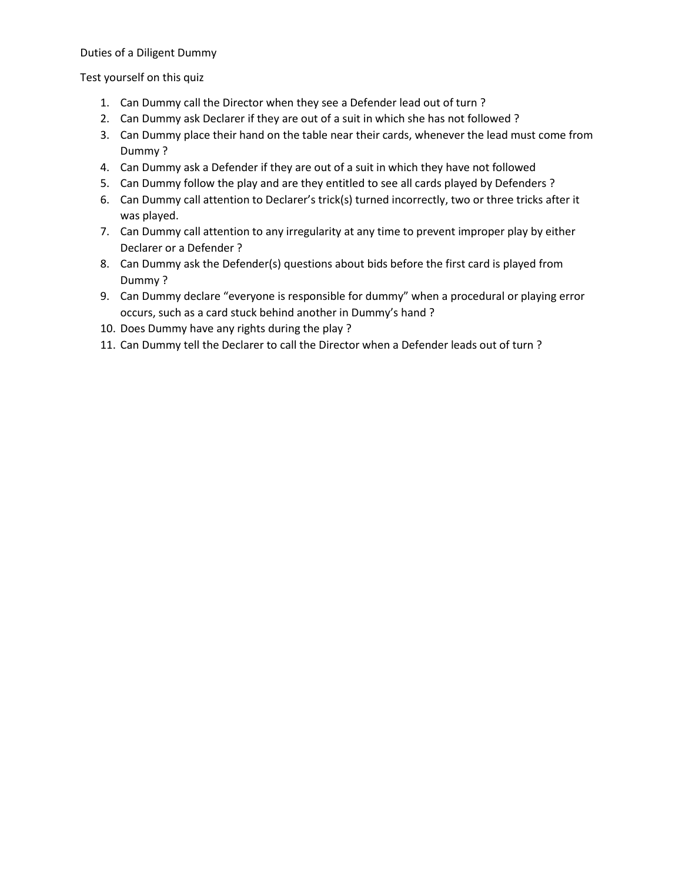## Duties of a Diligent Dummy

Test yourself on this quiz

- 1. Can Dummy call the Director when they see a Defender lead out of turn ?
- 2. Can Dummy ask Declarer if they are out of a suit in which she has not followed ?
- 3. Can Dummy place their hand on the table near their cards, whenever the lead must come from Dummy ?
- 4. Can Dummy ask a Defender if they are out of a suit in which they have not followed
- 5. Can Dummy follow the play and are they entitled to see all cards played by Defenders ?
- 6. Can Dummy call attention to Declarer's trick(s) turned incorrectly, two or three tricks after it was played.
- 7. Can Dummy call attention to any irregularity at any time to prevent improper play by either Declarer or a Defender ?
- 8. Can Dummy ask the Defender(s) questions about bids before the first card is played from Dummy ?
- 9. Can Dummy declare "everyone is responsible for dummy" when a procedural or playing error occurs, such as a card stuck behind another in Dummy's hand ?
- 10. Does Dummy have any rights during the play ?
- 11. Can Dummy tell the Declarer to call the Director when a Defender leads out of turn ?